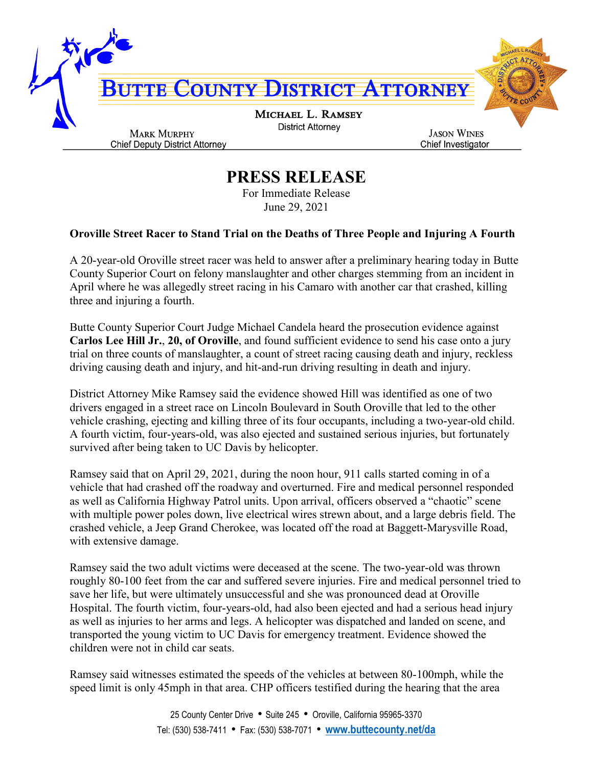

## **PRESS RELEASE**

For Immediate Release June 29, 2021

## **Oroville Street Racer to Stand Trial on the Deaths of Three People and Injuring A Fourth**

A 20-year-old Oroville street racer was held to answer after a preliminary hearing today in Butte County Superior Court on felony manslaughter and other charges stemming from an incident in April where he was allegedly street racing in his Camaro with another car that crashed, killing three and injuring a fourth.

Butte County Superior Court Judge Michael Candela heard the prosecution evidence against **Carlos Lee Hill Jr.**, **20, of Oroville**, and found sufficient evidence to send his case onto a jury trial on three counts of manslaughter, a count of street racing causing death and injury, reckless driving causing death and injury, and hit-and-run driving resulting in death and injury.

District Attorney Mike Ramsey said the evidence showed Hill was identified as one of two drivers engaged in a street race on Lincoln Boulevard in South Oroville that led to the other vehicle crashing, ejecting and killing three of its four occupants, including a two-year-old child. A fourth victim, four-years-old, was also ejected and sustained serious injuries, but fortunately survived after being taken to UC Davis by helicopter.

Ramsey said that on April 29, 2021, during the noon hour, 911 calls started coming in of a vehicle that had crashed off the roadway and overturned. Fire and medical personnel responded as well as California Highway Patrol units. Upon arrival, officers observed a "chaotic" scene with multiple power poles down, live electrical wires strewn about, and a large debris field. The crashed vehicle, a Jeep Grand Cherokee, was located off the road at Baggett-Marysville Road, with extensive damage.

Ramsey said the two adult victims were deceased at the scene. The two-year-old was thrown roughly 80-100 feet from the car and suffered severe injuries. Fire and medical personnel tried to save her life, but were ultimately unsuccessful and she was pronounced dead at Oroville Hospital. The fourth victim, four-years-old, had also been ejected and had a serious head injury as well as injuries to her arms and legs. A helicopter was dispatched and landed on scene, and transported the young victim to UC Davis for emergency treatment. Evidence showed the children were not in child car seats.

Ramsey said witnesses estimated the speeds of the vehicles at between 80-100mph, while the speed limit is only 45mph in that area. CHP officers testified during the hearing that the area